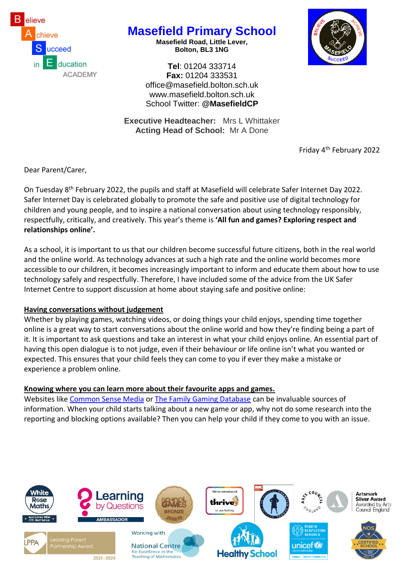

## **Masefield Primary School**

**Masefield Road, Little Lever, Bolton, BL3 1NG**



**Tel**: 01204 333714 **Fax:** 01204 333531 [office@masefield.bolton.sch.uk](mailto:office@masefield.bolton.sch.uk) [www.masefield.bolton.sch.uk](http://www.masefield.bolton.sch.uk/) School Twitter: **@MasefieldCP**

**Executive Headteacher:** Mrs L Whittaker **Acting Head of School:** Mr A Done

Friday 4th February 2022

Dear Parent/Carer,

On Tuesday 8th February 2022, the pupils and staff at Masefield will celebrate Safer Internet Day 2022. Safer Internet Day is celebrated globally to promote the safe and positive use of digital technology for children and young people, and to inspire a national conversation about using technology responsibly, respectfully, critically, and creatively. This year's theme is **'All fun and games? Exploring respect and relationships online'.**

As a school, it is important to us that our children become successful future citizens, both in the real world and the online world. As technology advances at such a high rate and the online world becomes more accessible to our children, it becomes increasingly important to inform and educate them about how to use technology safely and respectfully. Therefore, I have included some of the advice from the UK Safer Internet Centre to support discussion at home about staying safe and positive online:

## **Having conversations without judgement**

Whether by playing games, watching videos, or doing things your child enjoys, spending time together online is a great way to start conversations about the online world and how they're finding being a part of it. It is important to ask questions and take an interest in what your child enjoys online. An essential part of having this open dialogue is to not judge, even if their behaviour or life online isn't what you wanted or expected. This ensures that your child feels they can come to you if ever they make a mistake or experience a problem online.

## **Knowing where you can learn more about their favourite apps and games.**

Websites like [Common Sense Media](https://www.commonsensemedia.org/) or [The Family Gaming Database](https://www.taminggaming.com/en-gb/) can be invaluable sources of information. When your child starts talking about a new game or app, why not do some research into the reporting and blocking options available? Then you can help your child if they come to you with an issue.